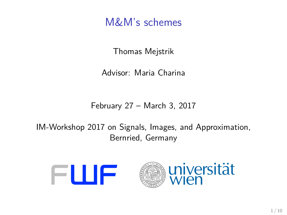M&M's schemes

Thomas Mejstrik

Advisor: Maria Charina

February 27 – March 3, 2017

IM-Workshop 2017 on Signals, Images, and Approximation, Bernried, Germany

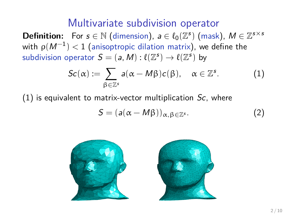# Multivariate subdivision operator

**Definition:** For  $s \in \mathbb{N}$  (dimension),  $a \in \ell_0(\mathbb{Z}^s)$  (mask),  $M \in \mathbb{Z}^{s \times s}$ with  $\rho(M^{-1}) < 1$  (anisoptropic dilation matrix), we define the subdivision operator  $\mathcal{S} = (a, M) : \ell(\mathbb{Z}^s) \to \ell(\mathbb{Z}^s)$  by

<span id="page-1-0"></span>
$$
Sc(\alpha) := \sum_{\beta \in \mathbb{Z}^s} a(\alpha - M\beta)c(\beta), \quad \alpha \in \mathbb{Z}^s. \tag{1}
$$

 $(1)$  is equivalent to matrix-vector multiplication  $Sc$ , where

$$
S = (a(\alpha - M\beta))_{\alpha, \beta \in \mathbb{Z}^s}.
$$
 (2)

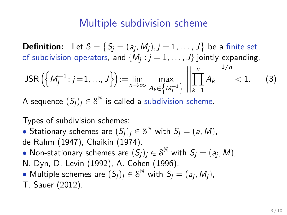# Multiple subdivision scheme

**Definition:** Let  $\mathcal{S} = \big\{ S_j = (a_j, M_j), j = 1, \ldots, J \big\}$  be a finite set of subdivision operators, and  $\{M_j: j=1,\ldots,J\}$  jointly expanding,

JSR 
$$
\left(\left\{M_j^{-1}: j=1,\ldots,J\right\}\right):=\lim_{n\to\infty}\max_{A_k\in\left\{M_j^{-1}\right\}}\left|\left|\prod_{k=1}^n A_k\right|\right|^{1/n}<1.
$$
 (3)

A sequence  $(\mathcal{S}_j)_j\in \mathcal{S}^{\mathbb{N}}$  is called a subdivision scheme.

Types of subdivision schemes:

- Stationary schemes are  $(S_j)_j \in S^{\mathbb{N}}$  with  $S_j = (a, M)$ , de Rahm (1947), Chaikin (1974).
- Non-stationary schemes are  $(\hat{S}_j)_j \in \mathcal{S}^{\mathbb{N}}$  with  $S_j = (a_j, M)$ , N. Dyn, D. Levin (1992), A. Cohen (1996).
- Multiple schemes are  $(S_j)_j \in \mathcal{S}^{\mathbb{N}}$  with  $S_j = (a_j, M_j)$ , T. Sauer (2012).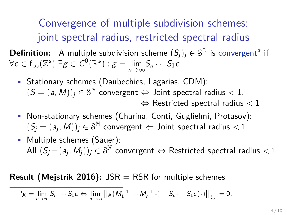Convergence of multiple subdivision schemes: joint spectral radius, restricted spectral radius

**Definition:** A multiple subdivision scheme  $(S_j)_j \in \mathcal{S}^{\mathbb{N}}$  is convergent<sup>a</sup> if  $\forall \mathsf{c} \in \ell_\infty(\mathbb{Z}^{\mathsf{s}}) \; \exists \mathsf{g} \in \mathsf{C}^0(\mathbb{R}^{\mathsf{s}}) : \mathsf{g} = \lim_{n \to \infty}$ <sup>n</sup>→<sup>∞</sup>  $S_n \cdots S_1c$ 

- Stationary schemes (Daubechies, Lagarias, CDM):  $(S = (a, M))_j \in \mathcal{S}^{\mathbb{N}}$  convergent  $\Leftrightarrow$  Joint spectral radius  $< 1$ .  $\Leftrightarrow$  Restricted spectral radius  $< 1$
- Non-stationary schemes (Charina, Conti, Guglielmi, Protasov):  $(S_j = (a_j, M))_j \in \mathcal{S}^{\mathbb{N}}$  convergent  $\Leftarrow$  Joint spectral radius  $< 1$
- Multiple schemes (Sauer): All  $(\dot{S_{j}}\!=\!(a_{j},M_{j}))_{j}\in\mathcal{S}^{\mathbb{N}}$  convergent  $\Leftrightarrow$  Restricted spectral radius  $< 1$

**Result (Mejstrik 2016):** JSR = RSR for multiple schemes

$$
{}^{\mathsf{a}}\mathsf{g}=\lim_{n\to\infty}S_n\cdots S_1\mathsf{c}\Leftrightarrow \lim_{n\to\infty}\big|\big|\mathsf{g}(M_1^{-1}\cdots M_n^{-1}\cdot)-S_n\cdots S_1\mathsf{c}(\cdot)\big|\big|_{\ell_\infty}=0.
$$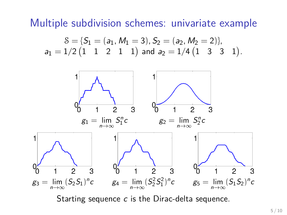Multiple subdivision schemes: univariate example

$$
\mathcal{S} = \{S_1 = (a_1, M_1 = 3), S_2 = (a_2, M_2 = 2)\},
$$
  

$$
a_1 = 1/2 \begin{pmatrix} 1 & 1 & 2 & 1 & 1 \end{pmatrix} \text{ and } a_2 = 1/4 \begin{pmatrix} 1 & 3 & 3 & 1 \end{pmatrix}.
$$



Starting sequence c is the Dirac-delta sequence.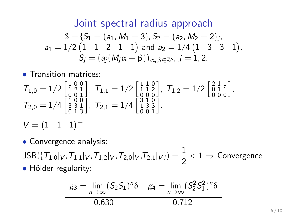#### Joint spectral radius approach

$$
\begin{array}{c} \mathcal{S}=\{S_1=(a_1,M_1=3), S_2=(a_2,M_2=2)\}, \\ a_1=1/2 \begin{pmatrix} 1 & 1 & 2 & 1 & 1 \end{pmatrix} \text{ and } a_2=1/4 \begin{pmatrix} 1 & 3 & 3 & 1 \end{pmatrix}. \\ S_j=(a_j(M_j\alpha-\beta))_{\alpha,\beta\in\mathbb{Z}^s}, j=1,2. \end{array}
$$

• Transition matrices:

$$
T_{1,0} = 1/2 \begin{bmatrix} 1 & 0 & 0 \\ 1 & 2 & 1 \\ 0 & 0 & 1 \end{bmatrix}, T_{1,1} = 1/2 \begin{bmatrix} 1 & 1 & 0 \\ 1 & 1 & 2 \\ 0 & 0 & 0 \end{bmatrix}, T_{1,2} = 1/2 \begin{bmatrix} 2 & 1 & 1 \\ 0 & 1 & 1 \\ 0 & 0 & 0 \end{bmatrix},
$$
  
\n
$$
T_{2,0} = 1/4 \begin{bmatrix} 1 & 0 & 0 \\ 3 & 3 & 1 \\ 0 & 1 & 3 \end{bmatrix}, T_{2,1} = 1/4 \begin{bmatrix} 3 & 1 & 0 \\ 1 & 3 & 3 \\ 0 & 0 & 1 \end{bmatrix}.
$$
  
\n
$$
V = \begin{bmatrix} 1 & 1 & 1 \end{bmatrix}^{\perp}
$$

• Convergence analysis:

 $\mathsf{JSR}(\{\mathcal{T}_{1,0}|_V, \mathcal{T}_{1,1}|_V, \mathcal{T}_{1,2}|_V, \mathcal{T}_{2,0}|_V, \mathcal{T}_{2,1}|_V\}) = \frac{1}{2} < 1 \Rightarrow \mathsf{Convergence}$ • Hölder regularity:

$$
\mathcal{L}_3 = \lim_{n \to \infty} (S_2 S_1)^n \delta \quad \mathcal{L}_4 = \lim_{n \to \infty} (S_2^2 S_1^2)^n \delta
$$
  
0.630 0.712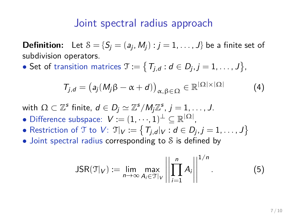## Joint spectral radius approach

**Definition:** Let  $S = \{S_j = (a_j, M_j) : j = 1, \ldots, J\}$  be a finite set of subdivision operators.

• Set of transition matrices  $\mathfrak{T}:=\big\{\,T_{j,d}: d\in D_j, j=1,\ldots,J\big\},$ 

$$
T_{j,d} = (a_j(M_j\beta - \alpha + d))_{\alpha,\beta \in \Omega} \in \mathbb{R}^{|\Omega| \times |\Omega|}
$$
 (4)

with  $\Omega \subset \mathbb{Z}^s$  finite,  $d \in D_j \simeq \mathbb{Z}^s/M_j\mathbb{Z}^s$ ,  $j = 1, \ldots, J$ .

- Difference subspace:  $V:=(1,\cdots,1)^{\perp}\subseteq\mathbb{R}^{|\Omega|}$ ,
- Restriction of T to  $V: \mathcal{T}|_V := \big\{ T_{j,d}|_V : d \in D_j, j = 1, \ldots, J \big\}$
- Joint spectral radius corresponding to S is defined by

$$
JSR(\mathcal{T}|_V) := \lim_{n \to \infty} \max_{A_i \in \mathcal{T}|_V} \left| \left| \prod_{i=1}^n A_i \right| \right|^{1/n}.
$$
 (5)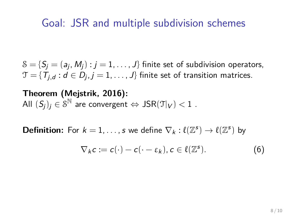## Goal: JSR and multiple subdivision schemes

 $\mathcal{S} = \{\mathcal{S}_j = (\mathsf{a}_j, \mathsf{M}_j) : j = 1, \dots, J\}$  finite set of subdivision operators,  $\mathfrak{T}=\{\, \mathcal{T}_{j,d}: d\in D_j, j=1,\ldots,J \}$  finite set of transition matrices.

**Theorem (Mejstrik, 2016):** All  $(S_j)_j \in \mathcal{S}^{\mathbb{N}}$  are convergent  $\Leftrightarrow \mathsf{JSR}(\mathfrak{I}|_V) < 1$  .

**Definition:** For  $k = 1, ..., s$  we define  $\nabla_k : \ell(\mathbb{Z}^s) \to \ell(\mathbb{Z}^s)$  by

$$
\nabla_k c := c(\cdot) - c(\cdot - \varepsilon_k), c \in \ell(\mathbb{Z}^s).
$$
 (6)